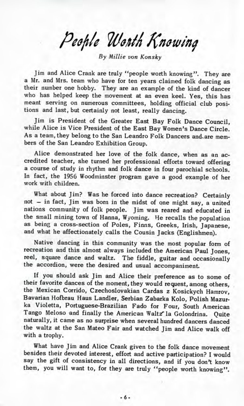People Worth Knowing

*By Millie von Konsky*

Jim and Alice Crank are truly "people worth knowing". They are a Mr. and Mrs. team who have for ten years claimed folk dancing as their number one hobby. They are an example of the kind of dancer who has helped keep the movement at an even keel. Yes, this has meant serving on numerous committees, holding official club positions and last, but certainly not least, really dancing.

Jim is President of the Greater East Bay Folk Dance Council, while Alice is Vice President of the East Bay Women's Dance Circle. As a team, they belong to the San Leandro Folk Dancers and. are members of the San Leandro Exhibition Group.

Alice demonstrated her love of the folk dance, when as an accredited teacher, she turned her professional efforts toward offering a course of study in rhythm and folk dance in four parochial schools. In fact, the 1956 Woodminster program gave a good example of her work with children.

What about Jim? Was he forced into dance recreation? Certainly not — in fact, Jim was born in the midst of one might say, a united nations community of folk people. Jim was reared and educated in the small mining town of Hanna, Wyoming. He recalls the population as being a cross-section of Poles, Finns, Greeks, Irish, Japanese, and what he affectionately calls the Cousin Jacks (Englishmen).

Native dancing in this community was the most popular form of recreation and this almost always included the American Paul Jones, reel, square dance and waltz. The fiddle, guitar and occasionally the accordion, were the desired and usual accompaniment.

If you should ask Jim and Alice their preference as to some of their favorite dances of the moment, they would request, among others, the Mexican Corrido, Czechoslovakian Cardas z Kosickych Hamrov, Bavarian Hofbrau Haus Landler, Serbian Zabarka Kolo, Polish Mazurka Violetta, Portuguese-Brazilian Fado for Four, South American Tango Meloso and finally the American Waltz'la Golondrina. Quite naturally, it came as no surprise when several hundred dancers danced the waltz at the San Mateo Fair and watched Jim and Alice walk off with a trophy.

What have Jim and Alice Crank given to the folk dance movement besides their devoted interest, effort and active participation? I would say the gift of consistency in all directions, and if you don't know them, you will want to, for they are truly ''people worth knowing".